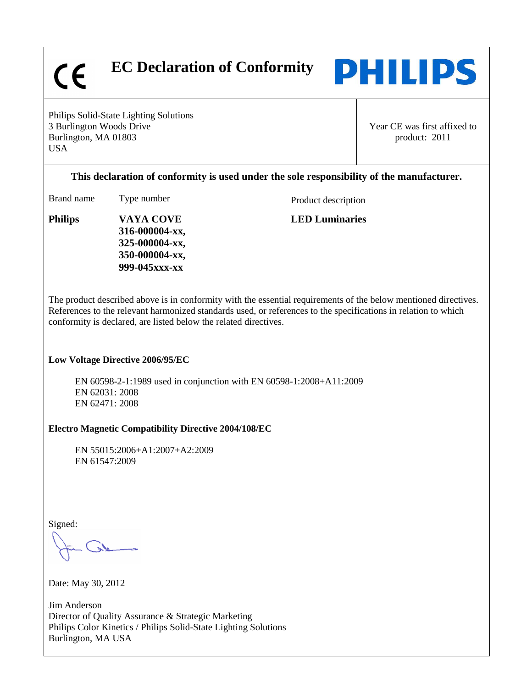$\epsilon$ 

 **EC Declaration of Conformity** 



Philips Solid-State Lighting Solutions 3 Burlington Woods Drive Burlington, MA 01803 USA

Year CE was first affixed to product: 2011

## **This declaration of conformity is used under the sole responsibility of the manufacturer.**

Brand name Type number Product description

**LED Luminaries**

**Philips VAYA COVE 316-000004-xx, 325-000004-xx, 350-000004-xx, 999-045xxx-xx**

The product described above is in conformity with the essential requirements of the below mentioned directives. References to the relevant harmonized standards used, or references to the specifications in relation to which conformity is declared, are listed below the related directives.

## **Low Voltage Directive 2006/95/EC**

EN 60598-2-1:1989 used in conjunction with EN 60598-1:2008+A11:2009 EN 62031: 2008 EN 62471: 2008

## **Electro Magnetic Compatibility Directive 2004/108/EC**

EN 55015:2006+A1:2007+A2:2009 EN 61547:2009

Signed:

Date: May 30, 2012

Jim Anderson Director of Quality Assurance & Strategic Marketing Philips Color Kinetics / Philips Solid-State Lighting Solutions Burlington, MA USA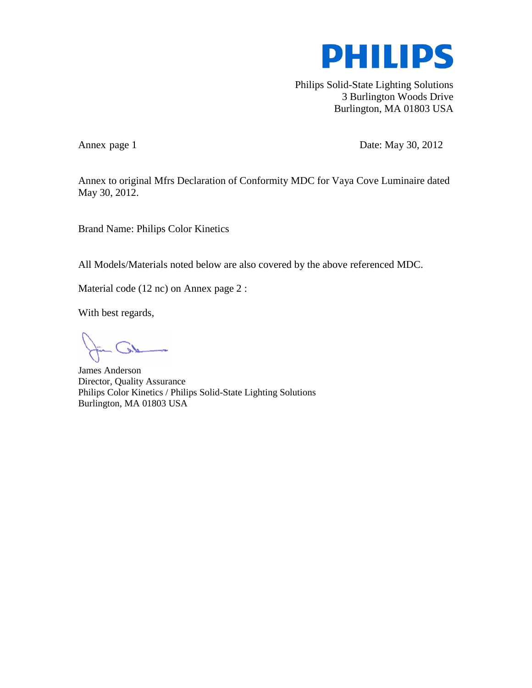

Philips Solid-State Lighting Solutions 3 Burlington Woods Drive Burlington, MA 01803 USA

Annex page 1 Date: May 30, 2012

Annex to original Mfrs Declaration of Conformity MDC for Vaya Cove Luminaire dated May 30, 2012.

Brand Name: Philips Color Kinetics

All Models/Materials noted below are also covered by the above referenced MDC.

Material code (12 nc) on Annex page 2 :

With best regards,

James Anderson Director, Quality Assurance Philips Color Kinetics / Philips Solid-State Lighting Solutions Burlington, MA 01803 USA